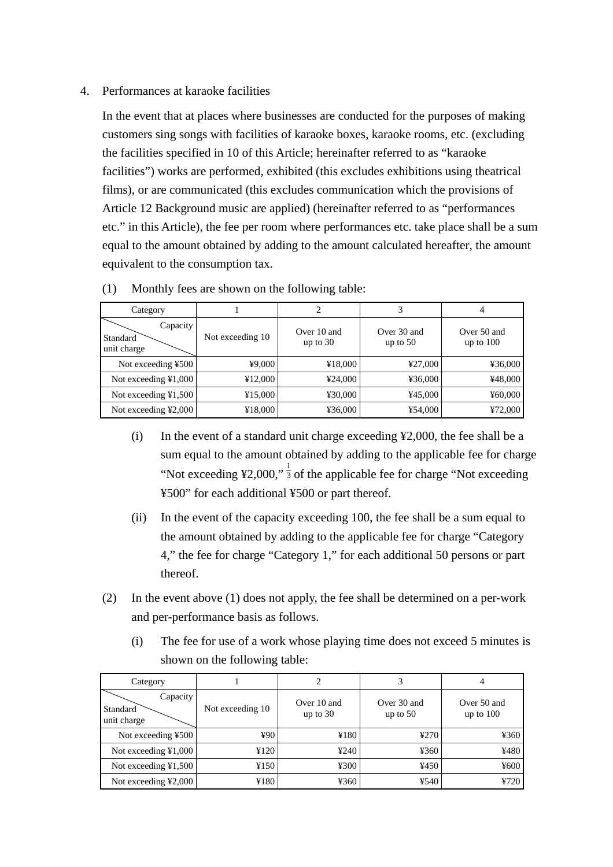## 4. Performances at karaoke facilities

In the event that at places where businesses are conducted for the purposes of making customers sing songs with facilities of karaoke boxes, karaoke rooms, etc. (excluding the facilities specified in 10 of this Article; hereinafter referred to as "karaoke facilities") works are performed, exhibited (this excludes exhibitions using theatrical films), or are communicated (this excludes communication which the provisions of Article 12 Background music are applied) (hereinafter referred to as "performances etc." in this Article), the fee per room where performances etc. take place shall be a sum equal to the amount obtained by adding to the amount calculated hereafter, the amount equivalent to the consumption tax.

| Category                            |                  | 2                         |                           | 4                          |
|-------------------------------------|------------------|---------------------------|---------------------------|----------------------------|
| Capacity<br>Standard<br>unit charge | Not exceeding 10 | Over 10 and<br>up to $30$ | Over 30 and<br>up to $50$ | Over 50 and<br>up to $100$ |
| Not exceeding ¥500                  | ¥9,000           | ¥18,000                   | ¥27,000                   | ¥36,000                    |
| Not exceeding $\yen 1,000$          | ¥12,000          | 424,000                   | ¥36,000                   | ¥48,000                    |
| Not exceeding $\yen 1,500$          | ¥15,000          | ¥30,000                   | ¥45,000                   | ¥60,000                    |
| Not exceeding ¥2,000                | ¥18,000          | ¥36,000                   | ¥54,000                   | ¥72,000                    |

| (1) |  | Monthly fees are shown on the following table: |
|-----|--|------------------------------------------------|
|     |  |                                                |

- (i) In the event of a standard unit charge exceeding ¥2,000, the fee shall be a sum equal to the amount obtained by adding to the applicable fee for charge "Not exceeding ¥2,000,"  $\frac{1}{3}$  of the applicable fee for charge "Not exceeding" ¥500" for each additional ¥500 or part thereof.
- (ii) In the event of the capacity exceeding 100, the fee shall be a sum equal to the amount obtained by adding to the applicable fee for charge "Category 4," the fee for charge "Category 1," for each additional 50 persons or part thereof.
- (2) In the event above (1) does not apply, the fee shall be determined on a per-work and per-performance basis as follows.
	- (i) The fee for use of a work whose playing time does not exceed 5 minutes is shown on the following table:

| Category                              |                  | 2                         |                           | 4                          |
|---------------------------------------|------------------|---------------------------|---------------------------|----------------------------|
| Capacity<br>Standard<br>unit charge   | Not exceeding 10 | Over 10 and<br>up to $30$ | Over 30 and<br>up to $50$ | Over 50 and<br>up to $100$ |
| Not exceeding ¥500                    | ¥90              | 4180                      | 4270                      | ¥360                       |
| Not exceeding $\yen 1,000$            | ¥120             | 4240                      | ¥360                      | ¥480                       |
| Not exceeding $\text{\&}1,500$        | ¥150             | 4300                      | ¥450                      | $\frac{1}{2}600$           |
| Not exceeding $\text{\textless}2,000$ | ¥180             | ¥360                      | ¥540                      | ¥720                       |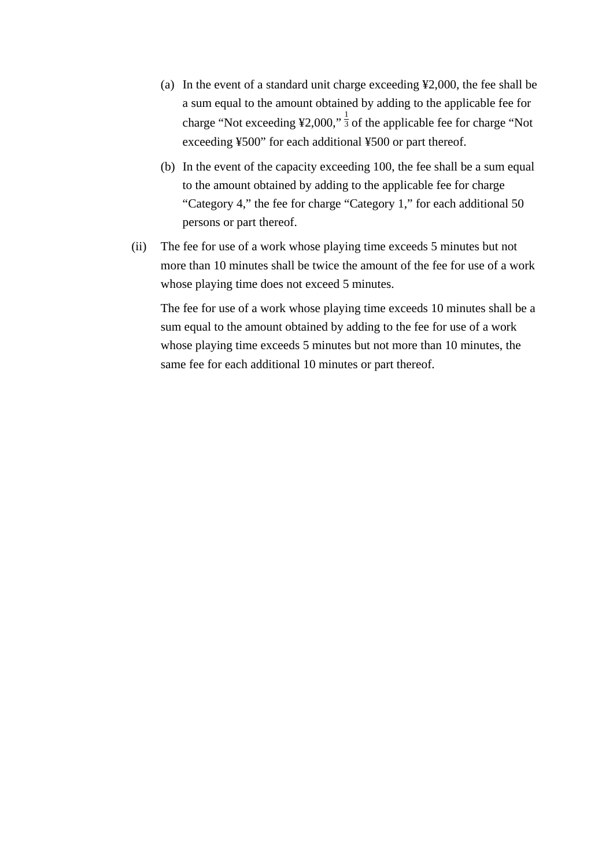- (a) In the event of a standard unit charge exceeding ¥2,000, the fee shall be a sum equal to the amount obtained by adding to the applicable fee for charge "Not exceeding  $\frac{1}{2}$ ,000,"  $\frac{1}{3}$  of the applicable fee for charge "Not exceeding ¥500" for each additional ¥500 or part thereof.
- (b) In the event of the capacity exceeding 100, the fee shall be a sum equal to the amount obtained by adding to the applicable fee for charge "Category 4," the fee for charge "Category 1," for each additional 50 persons or part thereof.
- (ii) The fee for use of a work whose playing time exceeds 5 minutes but not more than 10 minutes shall be twice the amount of the fee for use of a work whose playing time does not exceed 5 minutes.

The fee for use of a work whose playing time exceeds 10 minutes shall be a sum equal to the amount obtained by adding to the fee for use of a work whose playing time exceeds 5 minutes but not more than 10 minutes, the same fee for each additional 10 minutes or part thereof.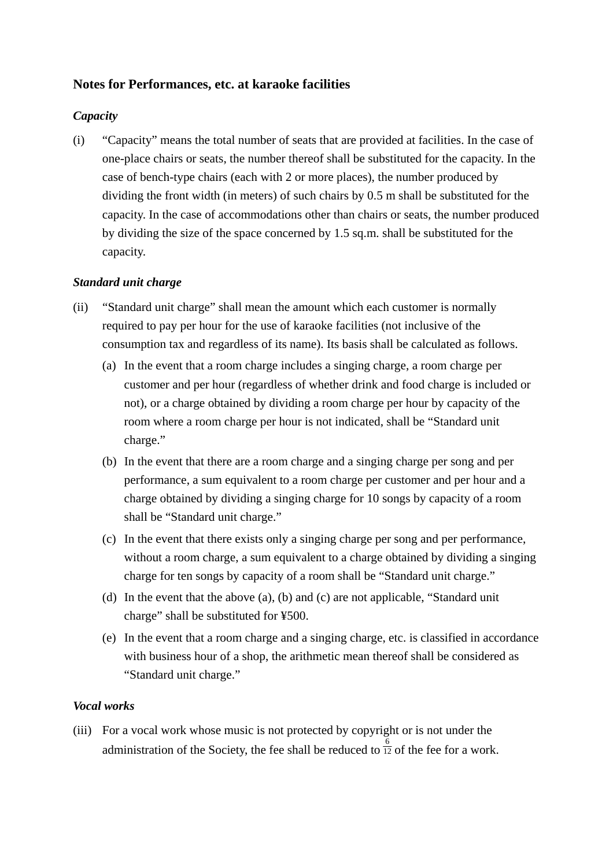# **Notes for Performances, etc. at karaoke facilities**

## *Capacity*

(i) "Capacity" means the total number of seats that are provided at facilities. In the case of one-place chairs or seats, the number thereof shall be substituted for the capacity. In the case of bench-type chairs (each with 2 or more places), the number produced by dividing the front width (in meters) of such chairs by 0.5 m shall be substituted for the capacity. In the case of accommodations other than chairs or seats, the number produced by dividing the size of the space concerned by 1.5 sq.m. shall be substituted for the capacity.

## *Standard unit charge*

- (ii) "Standard unit charge" shall mean the amount which each customer is normally required to pay per hour for the use of karaoke facilities (not inclusive of the consumption tax and regardless of its name). Its basis shall be calculated as follows.
	- (a) In the event that a room charge includes a singing charge, a room charge per customer and per hour (regardless of whether drink and food charge is included or not), or a charge obtained by dividing a room charge per hour by capacity of the room where a room charge per hour is not indicated, shall be "Standard unit charge."
	- (b) In the event that there are a room charge and a singing charge per song and per performance, a sum equivalent to a room charge per customer and per hour and a charge obtained by dividing a singing charge for 10 songs by capacity of a room shall be "Standard unit charge."
	- (c) In the event that there exists only a singing charge per song and per performance, without a room charge, a sum equivalent to a charge obtained by dividing a singing charge for ten songs by capacity of a room shall be "Standard unit charge."
	- (d) In the event that the above (a), (b) and (c) are not applicable, "Standard unit charge" shall be substituted for ¥500.
	- (e) In the event that a room charge and a singing charge, etc. is classified in accordance with business hour of a shop, the arithmetic mean thereof shall be considered as "Standard unit charge."

## *Vocal works*

(iii) For a vocal work whose music is not protected by copyright or is not under the administration of the Society, the fee shall be reduced to  $\frac{6}{12}$  of the fee for a work.